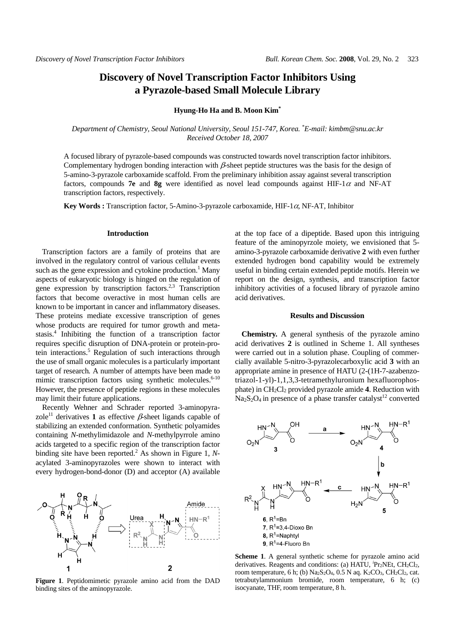# **Discovery of Novel Transcription Factor Inhibitors Using a Pyrazole-based Small Molecule Library**

#### **Hyung-Ho Ha and B. Moon Kim\***

## *Department of Chemistry, Seoul National University, Seoul 151-747, Korea. \* E-mail: kimbm@snu.ac.kr Received October 18, 2007*

A focused library of pyrazole-based compounds was constructed towards novel transcription factor inhibitors. Complementary hydrogen bonding interaction with  $\beta$ -sheet peptide structures was the basis for the design of 5-amino-3-pyrazole carboxamide scaffold. From the preliminary inhibition assay against several transcription factors, compounds **7e** and **8g** were identified as novel lead compounds against HIF-1 $\alpha$  and NF-AT transcription factors, respectively.

**Key Words :** Transcription factor, 5-Amino-3-pyrazole carboxamide, HIF-1α, NF-AT, Inhibitor

#### **Introduction**

Transcription factors are a family of proteins that are involved in the regulatory control of various cellular events such as the gene expression and cytokine production.<sup>1</sup> Many aspects of eukaryotic biology is hinged on the regulation of gene expression by transcription factors.2,3 Transcription factors that become overactive in most human cells are known to be important in cancer and inflammatory diseases. These proteins mediate excessive transcription of genes whose products are required for tumor growth and metastasis.4 Inhibiting the function of a transcription factor requires specific disruption of DNA-protein or protein-protein interactions.<sup>5</sup> Regulation of such interactions through the use of small organic molecules is a particularly important target of research*.* A number of attempts have been made to mimic transcription factors using synthetic molecules. $6-10$ However, the presence of peptide regions in these molecules may limit their future applications.

Recently Wehner and Schrader reported 3-aminopyrazole<sup>11</sup> derivatives **1** as effective  $\beta$ -sheet ligands capable of stabilizing an extended conformation. Synthetic polyamides containing *N*-methylimidazole and *N*-methylpyrrole amino acids targeted to a specific region of the transcription factor binding site have been reported.<sup>2</sup> As shown in Figure 1, Nacylated 3-aminopyrazoles were shown to interact with every hydrogen-bond-donor (D) and acceptor (A) available



**Figure 1**. Peptidomimetic pyrazole amino acid from the DAD binding sites of the aminopyrazole.

at the top face of a dipeptide. Based upon this intriguing feature of the aminopyrzole moiety, we envisioned that 5 amino-3-pyrazole carboxamide derivative **2** with even further extended hydrogen bond capability would be extremely useful in binding certain extended peptide motifs. Herein we report on the design, synthesis, and transcription factor inhibitory activities of a focused library of pyrazole amino acid derivatives.

### **Results and Discussion**

**Chemistry.** A general synthesis of the pyrazole amino acid derivatives **2** is outlined in Scheme 1. All syntheses were carried out in a solution phase. Coupling of commercially available 5-nitro-3-pyrazolecarboxylic acid **3** with an appropriate amine in presence of HATU (2-(1H-7-azabenzotriazol-1-yl)-1,1,3,3-tetramethyluronium hexafluorophosphate) in CH2Cl2 provided pyrazole amide **4**. Reduction with  $Na<sub>2</sub>S<sub>2</sub>O<sub>4</sub>$  in presence of a phase transfer catalyst<sup>12</sup> converted



**Scheme 1**. A general synthetic scheme for pyrazole amino acid derivatives. Reagents and conditions: (a) HATU, <sup>*'*</sup>Pr<sub>2</sub>NEt, CH<sub>2</sub>Cl<sub>2</sub>, room temperature, 6 h; (b)  $\text{Na}_2\text{S}_2\text{O}_4$ , 0.5 N aq.  $\text{K}_2\text{CO}_3$ , CH<sub>2</sub>Cl<sub>2</sub>, cat. tetrabutylammonium bromide, room temperature, 6 h; (c) isocyanate, THF, room temperature, 8 h.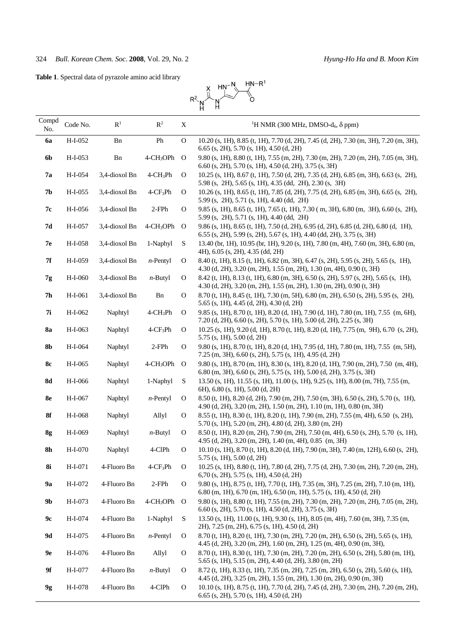**Table 1**. Spectral data of pyrazole amino acid library



| Compd<br>No. | Code No.  | R <sup>1</sup> | $\mathbb{R}^2$           | X             | <sup>1</sup> H NMR (300 MHz, DMSO-d <sub>6</sub> , $\delta$ ppm)                                                                                                      |
|--------------|-----------|----------------|--------------------------|---------------|-----------------------------------------------------------------------------------------------------------------------------------------------------------------------|
| 6a           | H-I-052   | Bn             | Ph                       | $\mathcal{O}$ | 10.20 (s, 1H), 8.85 (t, 1H), 7.70 (d, 2H), 7.45 (d, 2H), 7.30 (m, 3H), 7.20 (m, 3H),<br>$6.65$ (s, 2H), 5.70 (s, 1H), 4.50 (d, 2H)                                    |
| 6b           | H-I-053   | Bn             | 4-CH <sub>3</sub> OPh O  |               | 9.80 (s, 1H), 8.80 (t, 1H), 7.55 (m, 2H), 7.30 (m, 2H), 7.20 (m, 2H), 7.05 (m, 3H),<br>6.60 (s, 2H), 5.70 (s, 1H), 4.50 (d, 2H), 3.75 (s, 3H)                         |
| <b>7a</b>    | H-I-054   | 3,4-dioxol Bn  | $4$ -C $H_3$ Ph          | O             | 10.25 (s, 1H), 8.67 (t, 1H), 7.50 (d, 2H), 7.35 (d, 2H), 6.85 (m, 3H), 6.63 (s, 2H),<br>5.98 (s, 2H), 5.65 (s, 1H), 4.35 (dd, 2H), 2.30 (s, 3H)                       |
| 7b           | H-I-055   | 3,4-dioxol Bn  | $4$ -C $F_3$ Ph          | O             | 10.26 (s, 1H), 8.65 (t, 1H), 7.85 (d, 2H), 7.75 (d, 2H), 6.85 (m, 3H), 6.65 (s, 2H),<br>$5.99$ (s, 2H), $5.71$ (s, 1H), $4.40$ (dd, 2H)                               |
| 7с           | H-I-056   | 3,4-dioxol Bn  | $2$ -FP $h$              | 0             | 9.85 (s, 1H), 8.65 (t, 1H), 7.65 (t, 1H), 7.30 (m, 3H), 6.80 (m, 3H), 6.60 (s, 2H),<br>$5.99$ (s, 2H), $5.71$ (s, 1H), $4.40$ (dd, 2H)                                |
| 7d           | H-I-057   | 3,4-dioxol Bn  | $4$ -CH <sub>3</sub> OPh | $\Omega$      | 9.86 (s, 1H), 8.65 (t, 1H), 7.50 (d, 2H), 6.95 (d, 2H), 6.85 (d, 2H), 6.80 (d, 1H),<br>$6.55$ (s, 2H), 5.99 (s, 2H), 5.67 (s, 1H), 4.40 (dd, 2H), 3.75 (s, 3H)        |
| 7е           | H-I-058   | 3,4-dioxol Bn  | 1-Naphyl                 | S             | 13.40 (br, 1H), 10.95 (br, 1H), 9.20 (s, 1H), 7.80 (m, 4H), 7.60 (m, 3H), 6.80 (m,<br>4H), 6.05 (s, 2H), 4.35 (dd, 2H)                                                |
| 7f           | H-I-059   | 3,4-dioxol Bn  | $n$ -Pentyl              | $\mathbf{O}$  | 8.40 (t, 1H), 8.15 (t, 1H), 6.82 (m, 3H), 6.47 (s, 2H), 5.95 (s, 2H), 5.65 (s, 1H),<br>$4.30$ (d, 2H), 3.20 (m, 2H), 1.55 (m, 2H), 1.30 (m, 4H), 0.90 (t, 3H)         |
| 7g           | H-I-060   | 3,4-dioxol Bn  | $n$ -Butyl               | $\mathbf{O}$  | 8.42 (t, 1H), 8.13 (t, 1H), 6.80 (m, 3H), 6.50 (s, 2H), 5.97 (s, 2H), 5.65 (s, 1H),<br>4.30 (d, 2H), 3.20 (m, 2H), 1.55 (m, 2H), 1.30 (m, 2H), 0.90 (t, 3H)           |
| 7h           | H-I-061   | 3,4-dioxol Bn  | Bn                       | $\mathbf{O}$  | 8.70 (t, 1H), 8.45 (t, 1H), 7.30 (m, 5H), 6.80 (m, 2H), 6.50 (s, 2H), 5.95 (s, 2H),<br>$5.65$ (s, 1H), 4.45 (d, 2H), 4.30 (d, 2H)                                     |
| 7i           | H-I-062   | Naphtyl        | $4$ -CH <sub>3</sub> Ph  | O             | 9.85 (s, 1H), 8.70 (t, 1H), 8.20 (d, 1H), 7.90 (d, 1H), 7.80 (m, 1H), 7.55 (m, 6H),<br>7.20 (d, 2H), 6.60 (s, 2H), 5.70 (s, 1H), 5.00 (d, 2H), 2.25 (s, 3H)           |
| <b>8a</b>    | H-I-063   | Naphtyl        | $4$ -C $F_3$ Ph          | O             | 10.25 (s, 1H), 9.20 (d, 1H), 8.70 (t, 1H), 8.20 (d, 1H), 7.75 (m, 9H), 6.70 (s, 2H),<br>$5.75$ (s, 1H), $5.00$ (d, 2H)                                                |
| 8b           | H-I-064   | Naphtyl        | $2$ -FP $h$              | $\mathbf{O}$  | 9.80 (s, 1H), 8.70 (t, 1H), 8.20 (d, 1H), 7.95 (d, 1H), 7.80 (m, 1H), 7.55 (m, 5H),<br>7.25 (m, 3H), 6.60 (s, 2H), 5.75 (s, 1H), 4.95 (d, 2H)                         |
| <b>8c</b>    | H-I-065   | Naphtyl        | $4-CH3OPh$ O             |               | 9.80 (s, 1H), 8.70 (m, 1H), 8.30 (s, 1H), 8.20 (d, 1H), 7.90 (m, 2H), 7.50 (m, 4H),<br>$6.80$ (m, 3H), $6.60$ (s, 2H), $5.75$ (s, 1H), $5.00$ (d, 2H), $3.75$ (s, 3H) |
| 8d           | H-I-066   | Naphtyl        | 1-Naphyl                 | S             | 13.50 (s, 1H), 11.55 (s, 1H), 11.00 (s, 1H), 9.25 (s, 1H), 8.00 (m, 7H), 7.55 (m,<br>6H), 6.80 (s, 1H), 5.00 (d, 2H)                                                  |
| 8e           | H-I-067   | Naphtyl        | $n$ -Pentyl              | $\mathbf{O}$  | 8.50 (t, 1H), 8.20 (d, 2H), 7.90 (m, 2H), 7.50 (m, 3H), 6.50 (s, 2H), 5.70 (s, 1H),<br>4.90 (d, 2H), 3.20 (m, 2H), 1.50 (m, 2H), 1.10 (m, 1H), 0.80 (m, 3H)           |
| <b>8f</b>    | H-I-068   | Naphtyl        | Allyl                    | $\mathbf{O}$  | 8.55 (t, 1H), 8.30 (t, 1H), 8.20 (t, 1H), 7.90 (m, 2H), 7.55 (m, 4H), 6.50 (s, 2H),<br>5.70 (s, 1H), 5.20 (m, 2H), 4.80 (d, 2H), 3.80 (m, 2H)                         |
| 8g           | H-I-069   | Naphtyl        | $n$ -Butyl               | $\mathbf{O}$  | 8.50 (t, 1H), 8.20 (m, 2H), 7.90 (m, 2H), 7.50 (m, 4H), 6.50 (s, 2H), 5.70 (s, 1H),<br>4.95 (d, 2H), 3.20 (m, 2H), 1.40 (m, 4H), 0.85 (m, 3H)                         |
| 8h           | H-I-070   | Naphtyl        | 4-ClPh                   | O             | 10.10 (s, 1H), 8.70 (t, 1H), 8.20 (d, 1H), 7.90 (m, 3H), 7.40 (m, 12H), 6.60 (s, 2H),<br>$5.75$ (s, 1H), $5.00$ (d, 2H)                                               |
| <b>8i</b>    | $H-I-071$ | 4-Fluoro Bn    | $4$ -C $F_3$ Ph          | O             | 10.25 (s, 1H), 8.80 (t, 1H), 7.80 (d, 2H), 7.75 (d, 2H), 7.30 (m, 2H), 7.20 (m, 2H),<br>$6,70$ (s, 2H), 5.75 (s, 1H), 4.50 (d, 2H)                                    |
| <b>9a</b>    | H-I-072   | 4-Fluoro Bn    | $2$ -FP $h$              | $\mathbf{O}$  | 9.80 (s, 1H), 8.75 (t, 1H), 7.70 (t, 1H), 7.35 (m, 3H), 7.25 (m, 2H), 7.10 (m, 1H),<br>$6.80$ (m, 1H), $6.70$ (m, 1H), $6.50$ (m, 1H), $5.75$ (s, 1H), $4.50$ (d, 2H) |
| 9b           | H-I-073   | 4-Fluoro Bn    | $4$ -CH <sub>3</sub> OPh | $\Omega$      | 9.80 (s, 1H), 8.80 (t, 1H), 7.55 (m, 2H), 7.30 (m, 2H), 7.20 (m, 2H), 7.05 (m, 2H),<br>$6.60$ (s, 2H), 5.70 (s, 1H), 4.50 (d, 2H), 3.75 (s, 3H)                       |
| 9c           | H-I-074   | 4-Fluoro Bn    | 1-Naphyl                 | S             | 13.50 (s, 1H), 11.00 (s, 1H), 9.30 (s, 1H), 8.05 (m, 4H), 7.60 (m, 3H), 7.35 (m,<br>2H), 7.25 (m, 2H), 6.75 (s, 1H), 4.50 (d, 2H)                                     |
| 9d           | H-I-075   | 4-Fluoro Bn    | $n$ -Pentyl              | O             | 8.70 (t, 1H), 8.20 (t, 1H), 7.30 (m, 2H), 7.20 (m, 2H), 6.50 (s, 2H), 5.65 (s, 1H),<br>4.45 (d, 2H), 3.20 (m, 2H), 1.60 (m, 2H), 1.25 (m, 4H), 0.90 (m, 3H),          |
| 9e           | H-I-076   | 4-Fluoro Bn    | Allyl                    | $\mathbf{O}$  | 8.70 (t, 1H), 8.30 (t, 1H), 7.30 (m, 2H), 7.20 (m, 2H), 6.50 (s, 2H), 5.80 (m, 1H),<br>5.65 (s, 1H), 5.15 (m, 2H), 4.40 (d, 2H), 3.80 (m, 2H)                         |
| 9f           | H-I-077   | 4-Fluoro Bn    | $n$ -Butyl               | $\mathbf{O}$  | 8.72 (t, 1H), 8.33 (t, 1H), 7.35 (m, 2H), 7.25 (m, 2H), 6.50 (s, 2H), 5.60 (s, 1H),<br>4.45 (d, 2H), 3.25 (m, 2H), 1.55 (m, 2H), 1.30 (m, 2H), 0.90 (m, 3H)           |
| 9g           | H-I-078   | 4-Fluoro Bn    | 4-ClPh                   | $\mathbf{O}$  | 10.10 (s, 1H), 8.75 (t, 1H), 7.70 (d, 2H), 7.45 (d, 2H), 7.30 (m, 2H), 7.20 (m, 2H),<br>$6.65$ (s, 2H), 5.70 (s, 1H), 4.50 (d, 2H)                                    |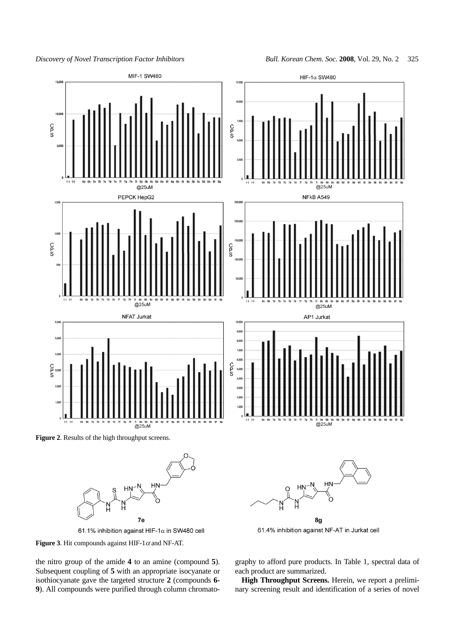

7e 61.1% inhibition against HIF-1 $\alpha$  in SW480 cell



the nitro group of the amide **4** to an amine (compound **5**). Subsequent coupling of **5** with an appropriate isocyanate or isothiocyanate gave the targeted structure **2** (compounds **6- 9**). All compounds were purified through column chromatography to afford pure products. In Table 1, spectral data of each product are summarized.

8g 61.4% inhibition against NF-AT in Jurkat cell

**High Throughput Screens.** Herein, we report a preliminary screening result and identification of a series of novel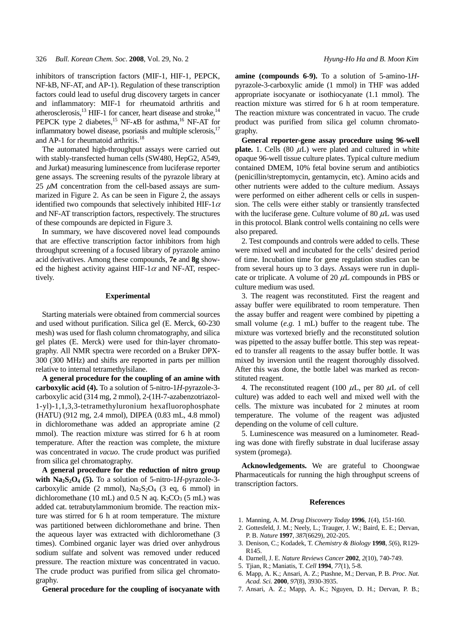inhibitors of transcription factors (MIF-1, HIF-1, PEPCK, NF-kB, NF-AT, and AP-1). Regulation of these transcription factors could lead to useful drug discovery targets in cancer and inflammatory: MIF-1 for rheumatoid arthritis and atherosclerosis, $^{13}$  HIF-1 for cancer, heart disease and stroke, $^{14}$ PEPCK type 2 diabetes,<sup>15</sup> NF- $\kappa$ B for asthma,<sup>16</sup> NF-AT for inflammatory bowel disease, psoriasis and multiple sclerosis. $17$ and AP-1 for rheumatoid arthritis.<sup>18</sup>

The automated high-throughput assays were carried out with stably-transfected human cells (SW480, HepG2, A549, and Jurkat) measuring luminescence from luciferase reporter gene assays. The screening results of the pyrazole library at 25  $\mu$ M concentration from the cell-based assays are summarized in Figure 2. As can be seen in Figure 2, the assays identified two compounds that selectively inhibited HIF-1 $\alpha$ and NF-AT transcription factors, respectively. The structures of these compounds are depicted in Figure 3.

In summary, we have discovered novel lead compounds that are effective transcription factor inhibitors from high throughput screening of a focused library of pyrazole amino acid derivatives. Among these compounds, **7e** and **8g** showed the highest activity against HIF-1 $\alpha$  and NF-AT, respectively.

# **Experimental**

Starting materials were obtained from commercial sources and used without purification. Silica gel (E. Merck, 60-230 mesh) was used for flash column chromatography, and silica gel plates (E. Merck) were used for thin-layer chromatography. All NMR spectra were recorded on a Bruker DPX-300 (300 MHz) and shifts are reported in parts per million relative to internal tetramethylsilane.

**A general procedure for the coupling of an amine with carboxylic acid (4).** To a solution of 5-nitro-1*H*-pyrazole-3 carboxylic acid (314 mg, 2 mmol), 2-(1H-7-azabenzotriazol-1-yl)-1,1,3,3-tetramethyluronium hexafluorophosphate (HATU) (912 mg, 2.4 mmol), DIPEA (0.83 mL, 4.8 mmol) in dichloromethane was added an appropriate amine (2 mmol). The reaction mixture was stirred for 6 h at room temperature. After the reaction was complete, the mixture was concentrated in *vacuo*. The crude product was purified from silica gel chromatography.

**A general procedure for the reduction of nitro group** with  $\text{Na}_2\text{S}_2\text{O}_4$  (5). To a solution of 5-nitro-1*H*-pyrazole-3carboxylic amide (2 mmol),  $Na<sub>2</sub>S<sub>2</sub>O<sub>4</sub>$  (3 eq, 6 mmol) in dichloromethane (10 mL) and 0.5 N aq.  $K_2CO_3$  (5 mL) was added cat. tetrabutylammonium bromide. The reaction mixture was stirred for 6 h at room temperature. The mixture was partitioned between dichloromethane and brine. Then the aqueous layer was extracted with dichloromethane (3 times). Combined organic layer was dried over anhydrous sodium sulfate and solvent was removed under reduced pressure. The reaction mixture was concentrated in vacuo. The crude product was purified from silica gel chromatography.

**General procedure for the coupling of isocyanate with**

**amine (compounds 6-9).** To a solution of 5-amino-1*H*pyrazole-3-carboxylic amide (1 mmol) in THF was added appropriate isocyanate or isothiocyanate (1.1 mmol). The reaction mixture was stirred for 6 h at room temperature. The reaction mixture was concentrated in vacuo. The crude product was purified from silica gel column chromatography.

**General reporter-gene assay procedure using 96-well plate.** 1. Cells  $(80 \mu L)$  were plated and cultured in white opaque 96-well tissue culture plates. Typical culture medium contained DMEM, 10% fetal bovine serum and antibiotics (penicillin/streptomycin, gentamycin, etc). Amino acids and other nutrients were added to the culture medium. Assays were performed on either adherent cells or cells in suspension. The cells were either stably or transiently transfected with the luciferase gene. Culture volume of 80  $\mu$ L was used in this protocol. Blank control wells containing no cells were also prepared.

2. Test compounds and controls were added to cells. These were mixed well and incubated for the cells' desired period of time. Incubation time for gene regulation studies can be from several hours up to 3 days. Assays were run in duplicate or triplicate. A volume of 20  $\mu$ L compounds in PBS or culture medium was used.

3. The reagent was reconstituted. First the reagent and assay buffer were equilibrated to room temperature. Then the assay buffer and reagent were combined by pipetting a small volume (*e.g*. 1 mL) buffer to the reagent tube. The mixture was vortexed briefly and the reconstituted solution was pipetted to the assay buffer bottle. This step was repeated to transfer all reagents to the assay buffer bottle. It was mixed by inversion until the reagent thoroughly dissolved. After this was done, the bottle label was marked as reconstituted reagent.

4. The reconstituted reagent (100  $\mu$ L, per 80  $\mu$ L of cell culture) was added to each well and mixed well with the cells. The mixture was incubated for 2 minutes at room temperature. The volume of the reagent was adjusted depending on the volume of cell culture.

5. Luminescence was measured on a luminometer. Reading was done with firefly substrate in dual luciferase assay system (promega).

**Acknowledgements.** We are grateful to Choongwae Pharmaceuticals for running the high throughput screens of transcription factors.

#### **References**

- 1. Manning, A. M. *Drug Discovery Today* **1996**, *1*(4), 151-160.
- 2. Gottesfeld, J. M.; Neely, L.; Trauger, J. W.; Baird, E. E.; Dervan, P. B. *Nature* **1997**, *387*(6629), 202-205.
- 3. Denison, C.; Kodadek, T. *Chemistry & Biology* **1998**, *5*(6), R129- R145.
- 4. Darnell, J. E. *Nature Reviews Cancer* **2002**, *2*(10), 740-749.
- 5. Tjian, R.; Maniatis, T. *Cell* **1994**, *77*(1), 5-8.
- 6. Mapp, A. K.; Ansari, A. Z.; Ptashne, M.; Dervan, P. B. *Proc. Nat. Acad. Sci.* **2000**, *97*(8), 3930-3935.
- 7. Ansari, A. Z.; Mapp, A. K.; Nguyen, D. H.; Dervan, P. B.;